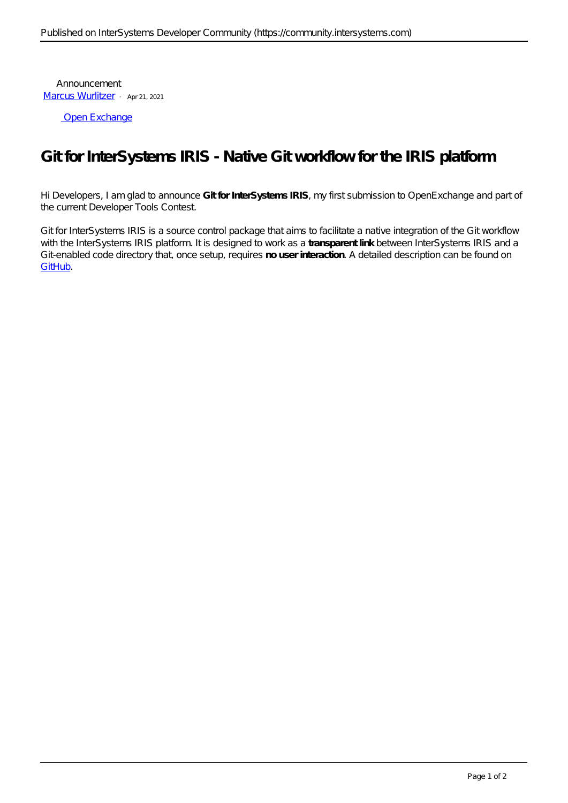Announcement [Marcus Wurlitzer](https://community.intersystems.com/user/marcus-wurlitzer) · Apr 21, 2021

[Open Exchange](https://openexchange.intersystems.com/package/Git-for-IRIS)

## **Git for InterSystems IRIS - Native Git workflow for the IRIS platform**

Hi Developers, I am glad to announce **Git for InterSystems IRIS**, my first submission to OpenExchange and part of the current Developer Tools Contest.

Git for InterSystems IRIS is a source control package that aims to facilitate a native integration of the Git workflow with the InterSystems IRIS platform. It is designed to work as a **transparent link** between InterSystems IRIS and a Git-enabled code directory that, once setup, requires **no user interaction**. A detailed description can be found on [GitHub.](https://github.com/MW-de/git-for-iris)

## **Instance IRIS**